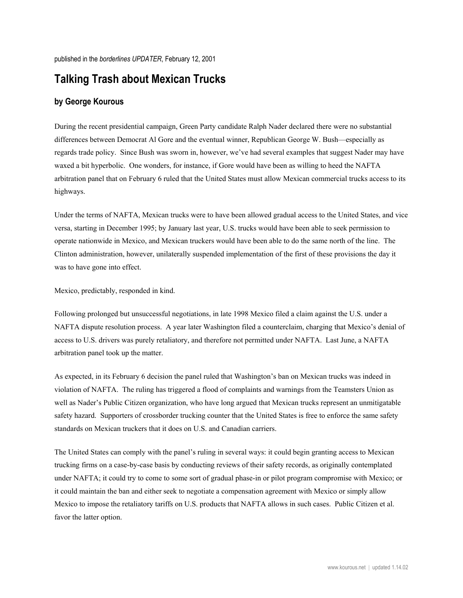## **Talking Trash about Mexican Trucks**

## **by George Kourous**

During the recent presidential campaign, Green Party candidate Ralph Nader declared there were no substantial differences between Democrat Al Gore and the eventual winner, Republican George W. Bush—especially as regards trade policy. Since Bush was sworn in, however, we've had several examples that suggest Nader may have waxed a bit hyperbolic. One wonders, for instance, if Gore would have been as willing to heed the NAFTA arbitration panel that on February 6 ruled that the United States must allow Mexican commercial trucks access to its highways.

Under the terms of NAFTA, Mexican trucks were to have been allowed gradual access to the United States, and vice versa, starting in December 1995; by January last year, U.S. trucks would have been able to seek permission to operate nationwide in Mexico, and Mexican truckers would have been able to do the same north of the line. The Clinton administration, however, unilaterally suspended implementation of the first of these provisions the day it was to have gone into effect.

Mexico, predictably, responded in kind.

Following prolonged but unsuccessful negotiations, in late 1998 Mexico filed a claim against the U.S. under a NAFTA dispute resolution process. A year later Washington filed a counterclaim, charging that Mexico's denial of access to U.S. drivers was purely retaliatory, and therefore not permitted under NAFTA. Last June, a NAFTA arbitration panel took up the matter.

As expected, in its February 6 decision the panel ruled that Washington's ban on Mexican trucks was indeed in violation of NAFTA. The ruling has triggered a flood of complaints and warnings from the Teamsters Union as well as Nader's Public Citizen organization, who have long argued that Mexican trucks represent an unmitigatable safety hazard. Supporters of crossborder trucking counter that the United States is free to enforce the same safety standards on Mexican truckers that it does on U.S. and Canadian carriers.

The United States can comply with the panel's ruling in several ways: it could begin granting access to Mexican trucking firms on a case-by-case basis by conducting reviews of their safety records, as originally contemplated under NAFTA; it could try to come to some sort of gradual phase-in or pilot program compromise with Mexico; or it could maintain the ban and either seek to negotiate a compensation agreement with Mexico or simply allow Mexico to impose the retaliatory tariffs on U.S. products that NAFTA allows in such cases. Public Citizen et al. favor the latter option.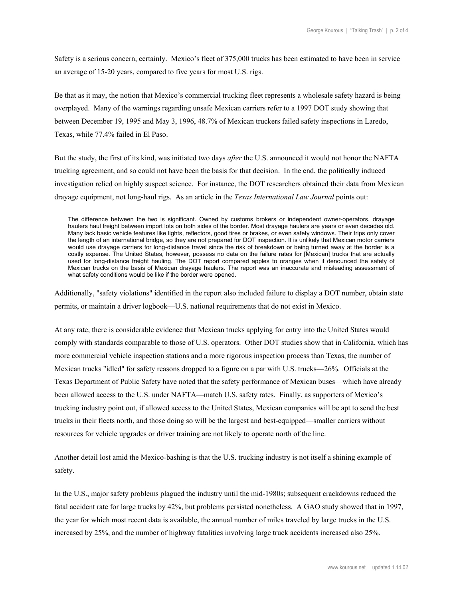Safety is a serious concern, certainly. Mexico's fleet of 375,000 trucks has been estimated to have been in service an average of 15-20 years, compared to five years for most U.S. rigs.

Be that as it may, the notion that Mexico's commercial trucking fleet represents a wholesale safety hazard is being overplayed. Many of the warnings regarding unsafe Mexican carriers refer to a 1997 DOT study showing that between December 19, 1995 and May 3, 1996, 48.7% of Mexican truckers failed safety inspections in Laredo, Texas, while 77.4% failed in El Paso.

But the study, the first of its kind, was initiated two days *after* the U.S. announced it would not honor the NAFTA trucking agreement, and so could not have been the basis for that decision. In the end, the politically induced investigation relied on highly suspect science. For instance, the DOT researchers obtained their data from Mexican drayage equipment, not long-haul rigs. As an article in the *Texas International Law Journal* points out:

The difference between the two is significant. Owned by customs brokers or independent owner-operators, drayage haulers haul freight between import lots on both sides of the border. Most drayage haulers are years or even decades old. Many lack basic vehicle features like lights, reflectors, good tires or brakes, or even safety windows. Their trips only cover the length of an international bridge, so they are not prepared for DOT inspection. It is unlikely that Mexican motor carriers would use drayage carriers for long-distance travel since the risk of breakdown or being turned away at the border is a costly expense. The United States, however, possess no data on the failure rates for [Mexican] trucks that are actually used for long-distance freight hauling. The DOT report compared apples to oranges when it denounced the safety of Mexican trucks on the basis of Mexican drayage haulers. The report was an inaccurate and misleading assessment of what safety conditions would be like if the border were opened.

Additionally, "safety violations" identified in the report also included failure to display a DOT number, obtain state permits, or maintain a driver logbook—U.S. national requirements that do not exist in Mexico.

At any rate, there is considerable evidence that Mexican trucks applying for entry into the United States would comply with standards comparable to those of U.S. operators. Other DOT studies show that in California, which has more commercial vehicle inspection stations and a more rigorous inspection process than Texas, the number of Mexican trucks "idled" for safety reasons dropped to a figure on a par with U.S. trucks—26%. Officials at the Texas Department of Public Safety have noted that the safety performance of Mexican buses—which have already been allowed access to the U.S. under NAFTA—match U.S. safety rates. Finally, as supporters of Mexico's trucking industry point out, if allowed access to the United States, Mexican companies will be apt to send the best trucks in their fleets north, and those doing so will be the largest and best-equipped—smaller carriers without resources for vehicle upgrades or driver training are not likely to operate north of the line.

Another detail lost amid the Mexico-bashing is that the U.S. trucking industry is not itself a shining example of safety.

In the U.S., major safety problems plagued the industry until the mid-1980s; subsequent crackdowns reduced the fatal accident rate for large trucks by 42%, but problems persisted nonetheless. A GAO study showed that in 1997, the year for which most recent data is available, the annual number of miles traveled by large trucks in the U.S. increased by 25%, and the number of highway fatalities involving large truck accidents increased also 25%.